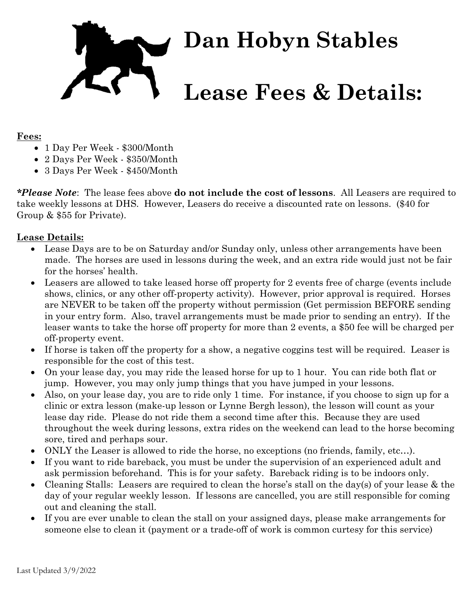

## **Fees:**

- 1 Day Per Week \$300/Month
- 2 Days Per Week \$350/Month
- 3 Days Per Week \$450/Month

*\*Please Note*: The lease fees above **do not include the cost of lessons**. All Leasers are required to take weekly lessons at DHS. However, Leasers do receive a discounted rate on lessons. (\$40 for Group & \$55 for Private).

## **Lease Details:**

- Lease Days are to be on Saturday and/or Sunday only, unless other arrangements have been made. The horses are used in lessons during the week, and an extra ride would just not be fair for the horses' health.
- Leasers are allowed to take leased horse off property for 2 events free of charge (events include shows, clinics, or any other off-property activity). However, prior approval is required. Horses are NEVER to be taken off the property without permission (Get permission BEFORE sending in your entry form. Also, travel arrangements must be made prior to sending an entry). If the leaser wants to take the horse off property for more than 2 events, a \$50 fee will be charged per off-property event.
- If horse is taken off the property for a show, a negative coggins test will be required. Leaser is responsible for the cost of this test.
- On your lease day, you may ride the leased horse for up to 1 hour. You can ride both flat or jump. However, you may only jump things that you have jumped in your lessons.
- Also, on your lease day, you are to ride only 1 time. For instance, if you choose to sign up for a clinic or extra lesson (make-up lesson or Lynne Bergh lesson), the lesson will count as your lease day ride. Please do not ride them a second time after this. Because they are used throughout the week during lessons, extra rides on the weekend can lead to the horse becoming sore, tired and perhaps sour.
- ONLY the Leaser is allowed to ride the horse, no exceptions (no friends, family, etc…).
- If you want to ride bareback, you must be under the supervision of an experienced adult and ask permission beforehand. This is for your safety. Bareback riding is to be indoors only.
- Cleaning Stalls: Leasers are required to clean the horse's stall on the day(s) of your lease & the day of your regular weekly lesson. If lessons are cancelled, you are still responsible for coming out and cleaning the stall.
- If you are ever unable to clean the stall on your assigned days, please make arrangements for someone else to clean it (payment or a trade-off of work is common curtesy for this service)